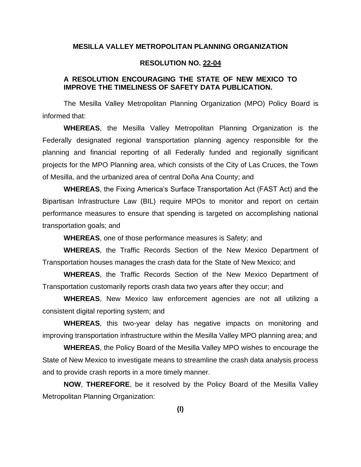# **MESILLA VALLEY METROPOLITAN PLANNING ORGANIZATION**

#### **RESOLUTION NO. 22-04**

# **A RESOLUTION ENCOURAGING THE STATE OF NEW MEXICO TO IMPROVE THE TIMELINESS OF SAFETY DATA PUBLICATION.**

The Mesilla Valley Metropolitan Planning Organization (MPO) Policy Board is informed that:

**WHEREAS**, the Mesilla Valley Metropolitan Planning Organization is the Federally designated regional transportation planning agency responsible for the planning and financial reporting of all Federally funded and regionally significant projects for the MPO Planning area, which consists of the City of Las Cruces, the Town of Mesilla, and the urbanized area of central Doña Ana County; and

**WHEREAS**, the Fixing America's Surface Transportation Act (FAST Act) and the Bipartisan Infrastructure Law (BIL) require MPOs to monitor and report on certain performance measures to ensure that spending is targeted on accomplishing national transportation goals; and

**WHEREAS**, one of those performance measures is Safety; and

**WHEREAS**, the Traffic Records Section of the New Mexico Department of Transportation houses manages the crash data for the State of New Mexico; and

**WHEREAS**, the Traffic Records Section of the New Mexico Department of Transportation customarily reports crash data two years after they occur; and

**WHEREAS**, New Mexico law enforcement agencies are not all utilizing a consistent digital reporting system; and

**WHEREAS**, this two-year delay has negative impacts on monitoring and improving transportation infrastructure within the Mesilla Valley MPO planning area; and

**WHEREAS**, the Policy Board of the Mesilla Valley MPO wishes to encourage the State of New Mexico to investigate means to streamline the crash data analysis process and to provide crash reports in a more timely manner.

**NOW**, **THEREFORE**, be it resolved by the Policy Board of the Mesilla Valley Metropolitan Planning Organization:

**(I)**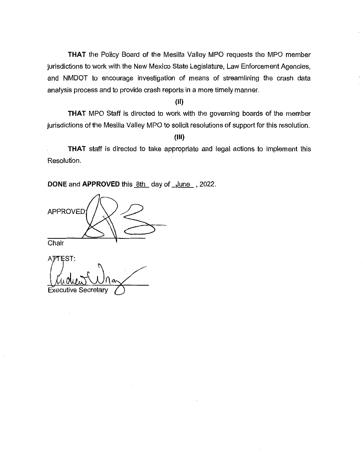THAT the Policy Board of the Mesilla Valley MPO requests the MPO member jurisdictions to work with the New Mexico State Legislature, Law Enforcement Agencies, and NMDOT to encourage investigation of means of streamlining the crash data analysis process and to provide crash reports in a more timely manner.

# $(II)$

**THAT** MPO Staff is directed to work with the governing boards of the member jurisdictions of the Mesilla Valley MPO to solicit resolutions of support for this resolution.

### $(III)$

THAT staff is directed to take appropriate and legal actions to implement this Resolution.

DONE and APPROVED this 8th day of June, 2022.

**APPROVED** Chair

AFTEST: **Executive Secretary**